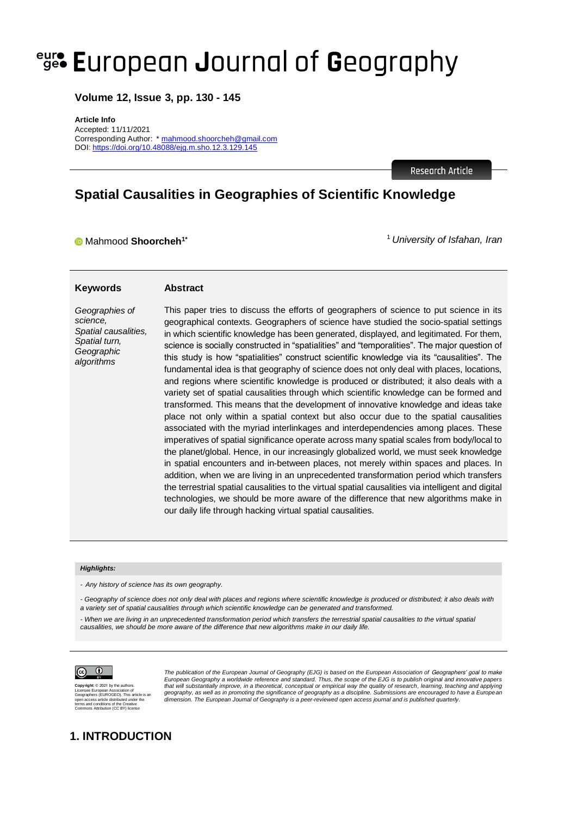# **eure European Journal of Geography**

**Volume 12, Issue 3, pp. 130 - 145**

**Article Info**

Accepted: 11/11/2021 Corresponding Author: \* [mahmood.shoorcheh@gmail.com](mailto:mahmood.shoorcheh@gmail.com) DOI: <https://doi.org/10.48088/ejg.m.sho.12.3.129.145>

**Research Article** 

## **Spatial Causalities in Geographies of Scientific Knowledge**

Mahmood **Shoorcheh1\*** <sup>1</sup>*University of Isfahan, Iran*

#### **Keywords Abstract**

*Geographies of science, Spatial causalities, Spatial turn, Geographic algorithms*

This paper tries to discuss the efforts of geographers of science to put science in its geographical contexts. Geographers of science have studied the socio-spatial settings in which scientific knowledge has been generated, displayed, and legitimated. For them, science is socially constructed in "spatialities" and "temporalities". The major question of this study is how "spatialities" construct scientific knowledge via its "causalities". The fundamental idea is that geography of science does not only deal with places, locations, and regions where scientific knowledge is produced or distributed; it also deals with a variety set of spatial causalities through which scientific knowledge can be formed and transformed. This means that the development of innovative knowledge and ideas take place not only within a spatial context but also occur due to the spatial causalities associated with the myriad interlinkages and interdependencies among places. These imperatives of spatial significance operate across many spatial scales from body/local to the planet/global. Hence, in our increasingly globalized world, we must seek knowledge in spatial encounters and in-between places, not merely within spaces and places. In addition, when we are living in an unprecedented transformation period which transfers the terrestrial spatial causalities to the virtual spatial causalities via intelligent and digital technologies, we should be more aware of the difference that new algorithms make in our daily life through hacking virtual spatial causalities.

#### *Highlights:*

*- Any history of science has its own geography.*

*- Geography of science does not only deal with places and regions where scientific knowledge is produced or distributed; it also deals with a variety set of spatial causalities through which scientific knowledge can be generated and transformed.*

*- When we are living in an unprecedented transformation period which transfers the terrestrial spatial causalities to the virtual spatial causalities, we should be more aware of the difference that new algorithms make in our daily life.*



**Copyright**: © 2021 by the authors. Licensee European Association of Geographers (EUROGEO). This article is an open access article distributed under the terms and conditions of the Creative Commons Attribution (CC BY) license

*The publication of the European Journal of Geography (EJG) is based on the European Association of Geographers' goal to make European Geography a worldwide reference and standard. Thus, the scope of the EJG is to publish original and innovative papers*  that will substantially improve, in a theoretical, conceptual or empirical way the quality of research, learning, teaching and applying<br>geography, as well as in promoting the significance of geography as a discipline. Subm *dimension. Th[e European Journal of Geography](https://eurogeojournal.eu/) is a peer-reviewed open access journal and is published quarterly.*

### **1. INTRODUCTION**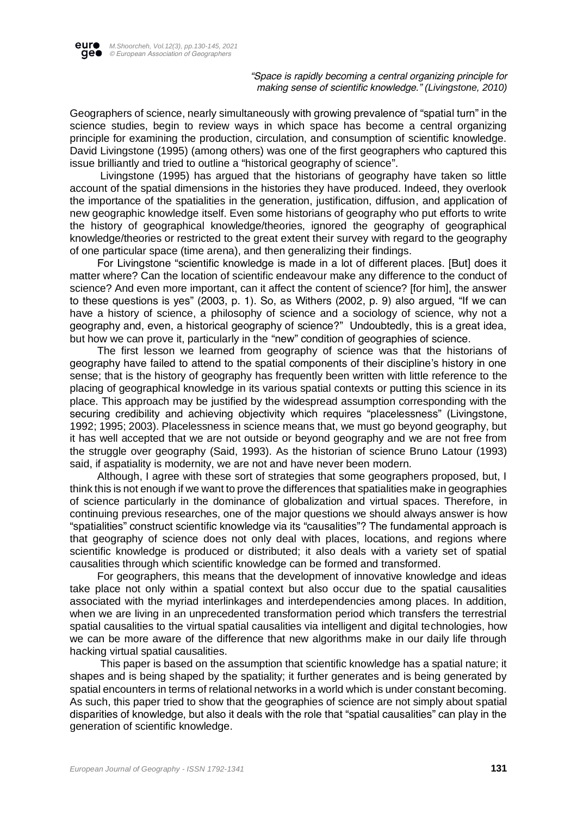*"Space is rapidly becoming a central organizing principle for making sense of scientific knowledge." (Livingstone, 2010)*

Geographers of science, nearly simultaneously with growing prevalence of "spatial turn" in the science studies, begin to review ways in which space has become a central organizing principle for examining the production, circulation, and consumption of scientific knowledge. David Livingstone (1995) (among others) was one of the first geographers who captured this issue brilliantly and tried to outline a "historical geography of science".

Livingstone (1995) has argued that the historians of geography have taken so little account of the spatial dimensions in the histories they have produced. Indeed, they overlook the importance of the spatialities in the generation, justification, diffusion, and application of new geographic knowledge itself. Even some historians of geography who put efforts to write the history of geographical knowledge/theories, ignored the geography of geographical knowledge/theories or restricted to the great extent their survey with regard to the geography of one particular space (time arena), and then generalizing their findings.

For Livingstone "scientific knowledge is made in a lot of different places. [But] does it matter where? Can the location of scientific endeavour make any difference to the conduct of science? And even more important, can it affect the content of science? [for him], the answer to these questions is yes" (2003, p. 1). So, as Withers (2002, p. 9) also argued, "If we can have a history of science, a philosophy of science and a sociology of science, why not a geography and, even, a historical geography of science?" Undoubtedly, this is a great idea, but how we can prove it, particularly in the "new" condition of geographies of science.

The first lesson we learned from geography of science was that the historians of geography have failed to attend to the spatial components of their discipline's history in one sense; that is the history of geography has frequently been written with little reference to the placing of geographical knowledge in its various spatial contexts or putting this science in its place. This approach may be justified by the widespread assumption corresponding with the securing credibility and achieving objectivity which requires "placelessness" (Livingstone, 1992; 1995; 2003). Placelessness in science means that, we must go beyond geography, but it has well accepted that we are not outside or beyond geography and we are not free from the struggle over geography (Said, 1993). As the historian of science Bruno Latour (1993) said, if aspatiality is modernity, we are not and have never been modern.

Although, I agree with these sort of strategies that some geographers proposed, but, I think this is not enough if we want to prove the differences that spatialities make in geographies of science particularly in the dominance of globalization and virtual spaces. Therefore, in continuing previous researches, one of the major questions we should always answer is how "spatialities" construct scientific knowledge via its "causalities"? The fundamental approach is that geography of science does not only deal with places, locations, and regions where scientific knowledge is produced or distributed; it also deals with a variety set of spatial causalities through which scientific knowledge can be formed and transformed.

For geographers, this means that the development of innovative knowledge and ideas take place not only within a spatial context but also occur due to the spatial causalities associated with the myriad interlinkages and interdependencies among places. In addition, when we are living in an unprecedented transformation period which transfers the terrestrial spatial causalities to the virtual spatial causalities via intelligent and digital technologies, how we can be more aware of the difference that new algorithms make in our daily life through hacking virtual spatial causalities.

This paper is based on the assumption that scientific knowledge has a spatial nature; it shapes and is being shaped by the spatiality; it further generates and is being generated by spatial encounters in terms of relational networks in a world which is under constant becoming. As such, this paper tried to show that the geographies of science are not simply about spatial disparities of knowledge, but also it deals with the role that "spatial causalities" can play in the generation of scientific knowledge.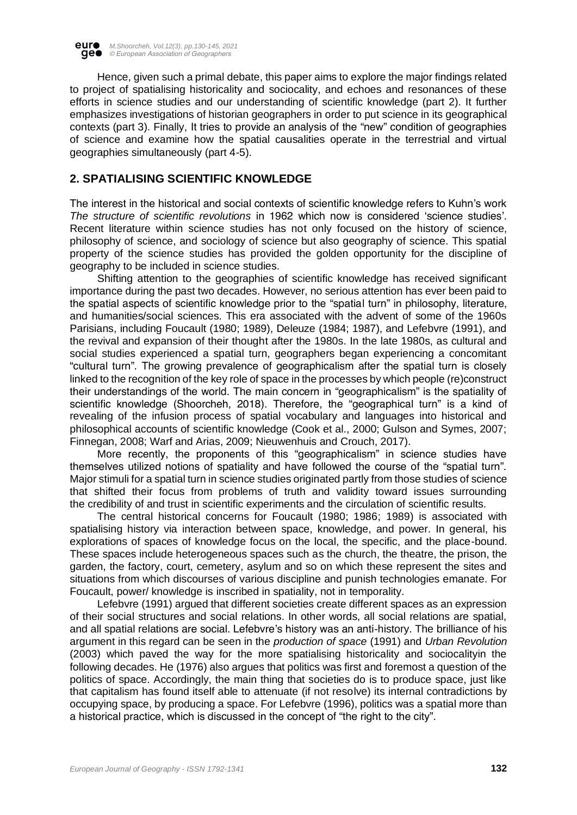

Hence, given such a primal debate, this paper aims to explore the major findings related to project of spatialising historicality and sociocality, and echoes and resonances of these efforts in science studies and our understanding of scientific knowledge (part 2). It further emphasizes investigations of historian geographers in order to put science in its geographical contexts (part 3). Finally, It tries to provide an analysis of the "new" condition of geographies of science and examine how the spatial causalities operate in the terrestrial and virtual geographies simultaneously (part 4-5).

#### **2. SPATIALISING SCIENTIFIC KNOWLEDGE**

The interest in the historical and social contexts of scientific knowledge refers to Kuhn's work *The structure of scientific revolutions* in 1962 which now is considered 'science studies'. Recent literature within science studies has not only focused on the history of science, philosophy of science, and sociology of science but also geography of science. This spatial property of the science studies has provided the golden opportunity for the discipline of geography to be included in science studies.

Shifting attention to the geographies of scientific knowledge has received significant importance during the past two decades. However, no serious attention has ever been paid to the spatial aspects of scientific knowledge prior to the "spatial turn" in philosophy, literature, and humanities/social sciences. This era associated with the advent of some of the 1960s Parisians, including Foucault (1980; 1989), Deleuze (1984; 1987), and Lefebvre (1991), and the revival and expansion of their thought after the 1980s. In the late 1980s, as cultural and social studies experienced a spatial turn, geographers began experiencing a concomitant "cultural turn". The growing prevalence of geographicalism after the spatial turn is closely linked to the recognition of the key role of space in the processes by which people (re)construct their understandings of the world. The main concern in "geographicalism" is the spatiality of scientific knowledge (Shoorcheh, 2018). Therefore, the "geographical turn" is a kind of revealing of the infusion process of spatial vocabulary and languages into historical and philosophical accounts of scientific knowledge (Cook et al., 2000; Gulson and Symes, 2007; Finnegan, 2008; Warf and Arias, 2009; Nieuwenhuis and Crouch, 2017).

More recently, the proponents of this "geographicalism" in science studies have themselves utilized notions of spatiality and have followed the course of the "spatial turn". Major stimuli for a spatial turn in science studies originated partly from those studies of science that shifted their focus from problems of truth and validity toward issues surrounding the credibility of and trust in scientific experiments and the circulation of scientific results.

The central historical concerns for Foucault (1980; 1986; 1989) is associated with spatialising history via interaction between space, knowledge, and power. In general, his explorations of spaces of knowledge focus on the local, the specific, and the place-bound. These spaces include heterogeneous spaces such as the church, the theatre, the prison, the garden, the factory, court, cemetery, asylum and so on which these represent the sites and situations from which discourses of various discipline and punish technologies emanate. For Foucault, power/ knowledge is inscribed in spatiality, not in temporality.

Lefebvre (1991) argued that different societies create different spaces as an expression of their social structures and social relations. In other words, all social relations are spatial, and all spatial relations are social. Lefebvre's history was an anti-history. The brilliance of his argument in this regard can be seen in the *production of space* (1991) and *Urban Revolution*  (2003) which paved the way for the more spatialising historicality and sociocalityin the following decades. He (1976) also argues that politics was first and foremost a question of the politics of space. Accordingly, the main thing that societies do is to produce space, just like that capitalism has found itself able to attenuate (if not resolve) its internal contradictions by occupying space, by producing a space. For Lefebvre (1996), politics was a spatial more than a historical practice, which is discussed in the concept of "the right to the city".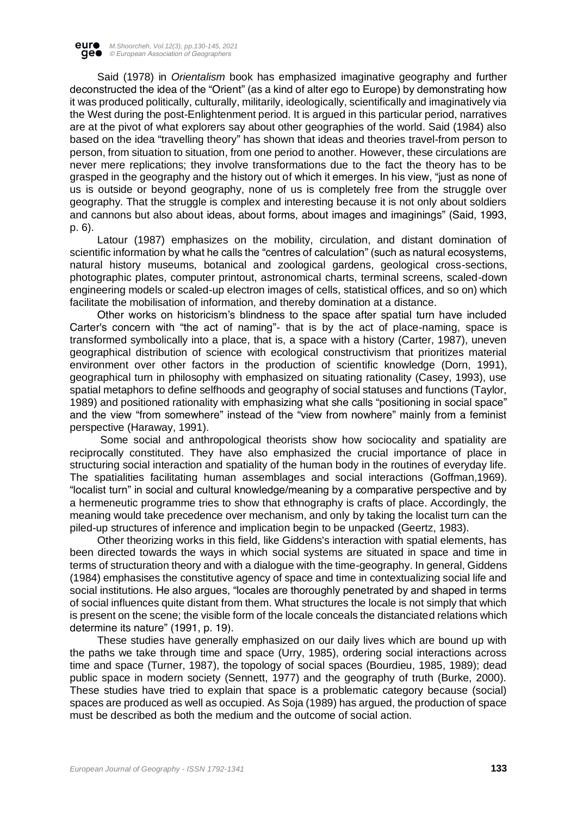Said (1978) in *Orientalism* book has emphasized imaginative geography and further deconstructed the idea of the "Orient" (as a kind of alter ego to Europe) by demonstrating how it was produced politically, culturally, militarily, ideologically, scientifically and imaginatively via the West during the post-Enlightenment period. It is argued in this particular period, narratives are at the pivot of what explorers say about other geographies of the world. Said (1984) also based on the idea "travelling theory" has shown that ideas and theories travel-from person to person, from situation to situation, from one period to another. However, these circulations are never mere replications; they involve transformations due to the fact the theory has to be grasped in the geography and the history out of which it emerges. In his view, "just as none of us is outside or beyond geography, none of us is completely free from the struggle over geography. That the struggle is complex and interesting because it is not only about soldiers and cannons but also about ideas, about forms, about images and imaginings" (Said, 1993, p. 6).

Latour (1987) emphasizes on the mobility, circulation, and distant domination of scientific information by what he calls the "centres of calculation" (such as natural ecosystems, natural history museums, botanical and zoological gardens, geological cross-sections, photographic plates, computer printout, astronomical charts, terminal screens, scaled-down engineering models or scaled-up electron images of cells, statistical offices, and so on) which facilitate the mobilisation of information, and thereby domination at a distance.

Other works on historicism's blindness to the space after spatial turn have included Carter's concern with "the act of naming"- that is by the act of place-naming, space is transformed symbolically into a place, that is, a space with a history (Carter, 1987), uneven geographical distribution of science with ecological constructivism that prioritizes material environment over other factors in the production of scientific knowledge (Dorn, 1991), geographical turn in philosophy with emphasized on situating rationality (Casey, 1993), use spatial metaphors to define selfhoods and geography of social statuses and functions (Taylor, 1989) and positioned rationality with emphasizing what she calls "positioning in social space" and the view "from somewhere" instead of the "view from nowhere" mainly from a feminist perspective (Haraway, 1991).

Some social and anthropological theorists show how sociocality and spatiality are reciprocally constituted. They have also emphasized the crucial importance of place in structuring social interaction and spatiality of the human body in the routines of everyday life. The spatialities facilitating human assemblages and social interactions (Goffman,1969). "localist turn" in social and cultural knowledge/meaning by a comparative perspective and by a hermeneutic programme tries to show that ethnography is crafts of place. Accordingly, the meaning would take precedence over mechanism, and only by taking the localist turn can the piled-up structures of inference and implication begin to be unpacked (Geertz, 1983).

Other theorizing works in this field, like Giddens's interaction with spatial elements, has been directed towards the ways in which social systems are situated in space and time in terms of structuration theory and with a dialogue with the time-geography. In general, Giddens (1984) emphasises the constitutive agency of space and time in contextualizing social life and social institutions. He also argues, "locales are thoroughly penetrated by and shaped in terms of social influences quite distant from them. What structures the locale is not simply that which is present on the scene; the visible form of the locale conceals the distanciated relations which determine its nature" (1991, p. 19).

These studies have generally emphasized on our daily lives which are bound up with the paths we take through time and space (Urry, 1985), ordering social interactions across time and space (Turner, 1987), the topology of social spaces (Bourdieu, 1985, 1989); dead public space in modern society (Sennett, 1977) and the geography of truth (Burke, 2000). These studies have tried to explain that space is a problematic category because (social) spaces are produced as well as occupied. As Soja (1989) has argued, the production of space must be described as both the medium and the outcome of social action.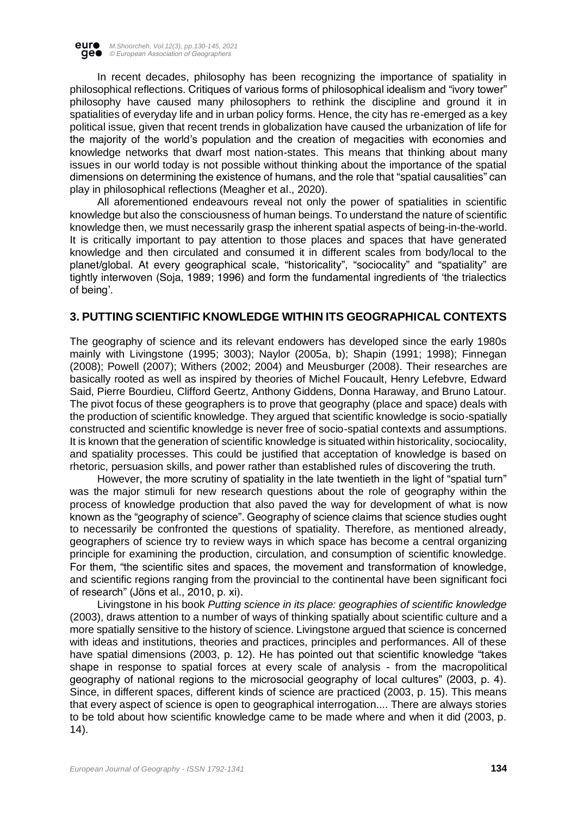

In recent decades, philosophy has been recognizing the importance of spatiality in philosophical reflections. Critiques of various forms of philosophical idealism and "ivory tower" philosophy have caused many philosophers to rethink the discipline and ground it in spatialities of everyday life and in urban policy forms. Hence, the city has re-emerged as a key political issue, given that recent trends in globalization have caused the urbanization of life for the majority of the world's population and the creation of megacities with economies and knowledge networks that dwarf most nation-states. This means that thinking about many issues in our world today is not possible without thinking about the importance of the spatial dimensions on determining the existence of humans, and the role that "spatial causalities" can play in philosophical reflections (Meagher et al., 2020).

All aforementioned endeavours reveal not only the power of spatialities in scientific knowledge but also the consciousness of human beings. To understand the nature of scientific knowledge then, we must necessarily grasp the inherent spatial aspects of being-in-the-world. It is critically important to pay attention to those places and spaces that have generated knowledge and then circulated and consumed it in different scales from body/local to the planet/global. At every geographical scale, "historicality", "sociocality" and "spatiality" are tightly interwoven (Soja, 1989; 1996) and form the fundamental ingredients of 'the trialectics of being'.

#### **3. PUTTING SCIENTIFIC KNOWLEDGE WITHIN ITS GEOGRAPHICAL CONTEXTS**

The geography of science and its relevant endowers has developed since the early 1980s mainly with Livingstone (1995; 3003); Naylor (2005a, b); Shapin (1991; 1998); Finnegan (2008); Powell (2007); Withers (2002; 2004) and Meusburger (2008). Their researches are basically rooted as well as inspired by theories of Michel Foucault, Henry Lefebvre, Edward Said, Pierre Bourdieu, Clifford Geertz, Anthony Giddens, Donna Haraway, and Bruno Latour. The pivot focus of these geographers is to prove that geography (place and space) deals with the production of scientific knowledge. They argued that scientific knowledge is socio-spatially constructed and scientific knowledge is never free of socio-spatial contexts and assumptions. It is known that the generation of scientific knowledge is situated within historicality, sociocality, and spatiality processes. This could be justified that acceptation of knowledge is based on rhetoric, persuasion skills, and power rather than established rules of discovering the truth.

However, the more scrutiny of spatiality in the late twentieth in the light of "spatial turn" was the major stimuli for new research questions about the role of geography within the process of knowledge production that also paved the way for development of what is now known as the "geography of science". Geography of science claims that science studies ought to necessarily be confronted the questions of spatiality. Therefore, as mentioned already, geographers of science try to review ways in which space has become a central organizing principle for examining the production, circulation, and consumption of scientific knowledge. For them, "the scientific sites and spaces, the movement and transformation of knowledge, and scientific regions ranging from the provincial to the continental have been significant foci of research" (Jöns et al., 2010, p. xi).

Livingstone in his book *Putting science in its place: geographies of scientific knowledge* (2003), draws attention to a number of ways of thinking spatially about scientific culture and a more spatially sensitive to the history of science. Livingstone argued that science is concerned with ideas and institutions, theories and practices, principles and performances. All of these have spatial dimensions (2003, p. 12). He has pointed out that scientific knowledge "takes shape in response to spatial forces at every scale of analysis - from the macropolitical geography of national regions to the microsocial geography of local cultures" (2003, p. 4). Since, in different spaces, different kinds of science are practiced (2003, p. 15). This means that every aspect of science is open to geographical interrogation.... There are always stories to be told about how scientific knowledge came to be made where and when it did (2003, p. 14).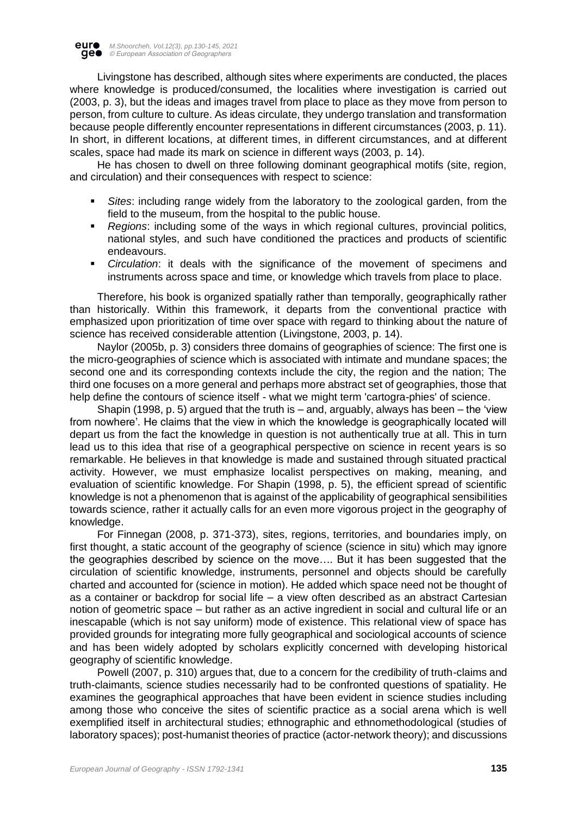*M.Shoorcheh, Vol.12(3), pp.130-145, 2021 © European Association of Geographers*

Livingstone has described, although sites where experiments are conducted, the places where knowledge is produced/consumed, the localities where investigation is carried out (2003, p. 3), but the ideas and images travel from place to place as they move from person to person, from culture to culture. As ideas circulate, they undergo translation and transformation because people differently encounter representations in different circumstances (2003, p. 11). In short, in different locations, at different times, in different circumstances, and at different scales, space had made its mark on science in different ways (2003, p. 14).

He has chosen to dwell on three following dominant geographical motifs (site, region, and circulation) and their consequences with respect to science:

- *Sites*: including range widely from the laboratory to the zoological garden, from the field to the museum, from the hospital to the public house.
- *Regions*: including some of the ways in which regional cultures, provincial politics, national styles, and such have conditioned the practices and products of scientific endeavours.
- *Circulation*: it deals with the significance of the movement of specimens and instruments across space and time, or knowledge which travels from place to place.

Therefore, his book is organized spatially rather than temporally, geographically rather than historically. Within this framework, it departs from the conventional practice with emphasized upon prioritization of time over space with regard to thinking about the nature of science has received considerable attention (Livingstone, 2003, p. 14).

Naylor (2005b, p. 3) considers three domains of geographies of science: The first one is the micro-geographies of science which is associated with intimate and mundane spaces; the second one and its corresponding contexts include the city, the region and the nation; The third one focuses on a more general and perhaps more abstract set of geographies, those that help define the contours of science itself - what we might term 'cartogra-phies' of science.

Shapin (1998, p. 5) argued that the truth is  $-$  and, arguably, always has been  $-$  the 'view from nowhere'. He claims that the view in which the knowledge is geographically located will depart us from the fact the knowledge in question is not authentically true at all. This in turn lead us to this idea that rise of a geographical perspective on science in recent years is so remarkable. He believes in that knowledge is made and sustained through situated practical activity. However, we must emphasize localist perspectives on making, meaning, and evaluation of scientific knowledge. For Shapin (1998, p. 5), the efficient spread of scientific knowledge is not a phenomenon that is against of the applicability of geographical sensibilities towards science, rather it actually calls for an even more vigorous project in the geography of knowledge.

For Finnegan (2008, p. 371-373), sites, regions, territories, and boundaries imply, on first thought, a static account of the geography of science (science in situ) which may ignore the geographies described by science on the move…. But it has been suggested that the circulation of scientific knowledge, instruments, personnel and objects should be carefully charted and accounted for (science in motion). He added which space need not be thought of as a container or backdrop for social life – a view often described as an abstract Cartesian notion of geometric space – but rather as an active ingredient in social and cultural life or an inescapable (which is not say uniform) mode of existence. This relational view of space has provided grounds for integrating more fully geographical and sociological accounts of science and has been widely adopted by scholars explicitly concerned with developing historical geography of scientific knowledge.

Powell (2007, p. 310) argues that, due to a concern for the credibility of truth-claims and truth-claimants, science studies necessarily had to be confronted questions of spatiality. He examines the geographical approaches that have been evident in science studies including among those who conceive the sites of scientific practice as a social arena which is well exemplified itself in architectural studies; ethnographic and ethnomethodological (studies of laboratory spaces); post-humanist theories of practice (actor-network theory); and discussions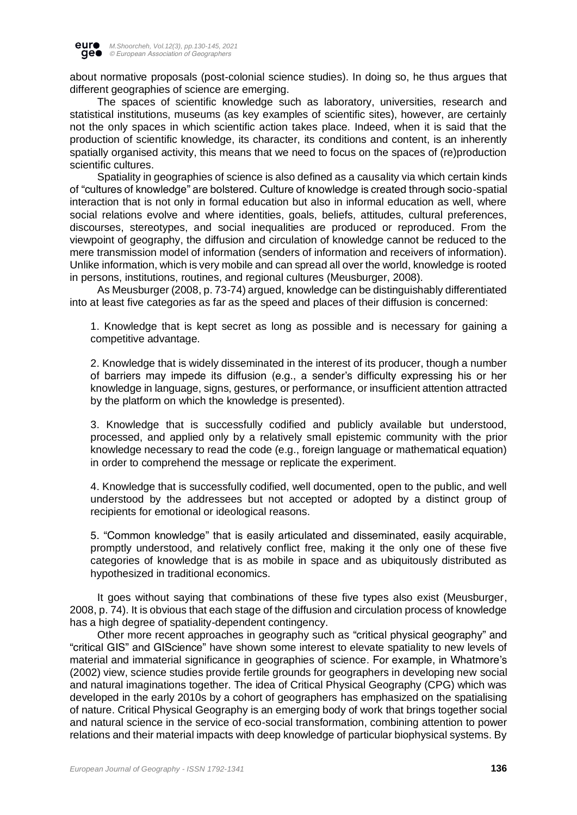

about normative proposals (post-colonial science studies). In doing so, he thus argues that different geographies of science are emerging.

The spaces of scientific knowledge such as laboratory, universities, research and statistical institutions, museums (as key examples of scientific sites), however, are certainly not the only spaces in which scientific action takes place. Indeed, when it is said that the production of scientific knowledge, its character, its conditions and content, is an inherently spatially organised activity, this means that we need to focus on the spaces of (re)production scientific cultures.

Spatiality in geographies of science is also defined as a causality via which certain kinds of "cultures of knowledge" are bolstered. Culture of knowledge is created through socio-spatial interaction that is not only in formal education but also in informal education as well, where social relations evolve and where identities, goals, beliefs, attitudes, cultural preferences, discourses, stereotypes, and social inequalities are produced or reproduced. From the viewpoint of geography, the diffusion and circulation of knowledge cannot be reduced to the mere transmission model of information (senders of information and receivers of information). Unlike information, which is very mobile and can spread all over the world, knowledge is rooted in persons, institutions, routines, and regional cultures (Meusburger, 2008).

As Meusburger (2008, p. 73-74) argued, knowledge can be distinguishably differentiated into at least five categories as far as the speed and places of their diffusion is concerned:

1. Knowledge that is kept secret as long as possible and is necessary for gaining a competitive advantage.

2. Knowledge that is widely disseminated in the interest of its producer, though a number of barriers may impede its diffusion (e.g., a sender's difficulty expressing his or her knowledge in language, signs, gestures, or performance, or insufficient attention attracted by the platform on which the knowledge is presented).

3. Knowledge that is successfully codified and publicly available but understood, processed, and applied only by a relatively small epistemic community with the prior knowledge necessary to read the code (e.g., foreign language or mathematical equation) in order to comprehend the message or replicate the experiment.

4. Knowledge that is successfully codified, well documented, open to the public, and well understood by the addressees but not accepted or adopted by a distinct group of recipients for emotional or ideological reasons.

5. "Common knowledge" that is easily articulated and disseminated, easily acquirable, promptly understood, and relatively conflict free, making it the only one of these five categories of knowledge that is as mobile in space and as ubiquitously distributed as hypothesized in traditional economics.

It goes without saying that combinations of these five types also exist (Meusburger, 2008, p. 74). It is obvious that each stage of the diffusion and circulation process of knowledge has a high degree of spatiality-dependent contingency.

Other more recent approaches in geography such as "critical physical geography" and "critical GIS" and GIScience" have shown some interest to elevate spatiality to new levels of material and immaterial significance in geographies of science. For example, in Whatmore's (2002) view, science studies provide fertile grounds for geographers in developing new social and natural imaginations together. The idea of Critical Physical Geography (CPG) which was developed in the early 2010s by a cohort of geographers has emphasized on the spatialising of nature. Critical Physical Geography is an emerging body of work that brings together social and natural science in the service of eco-social transformation, combining attention to power relations and their material impacts with deep knowledge of particular biophysical systems. By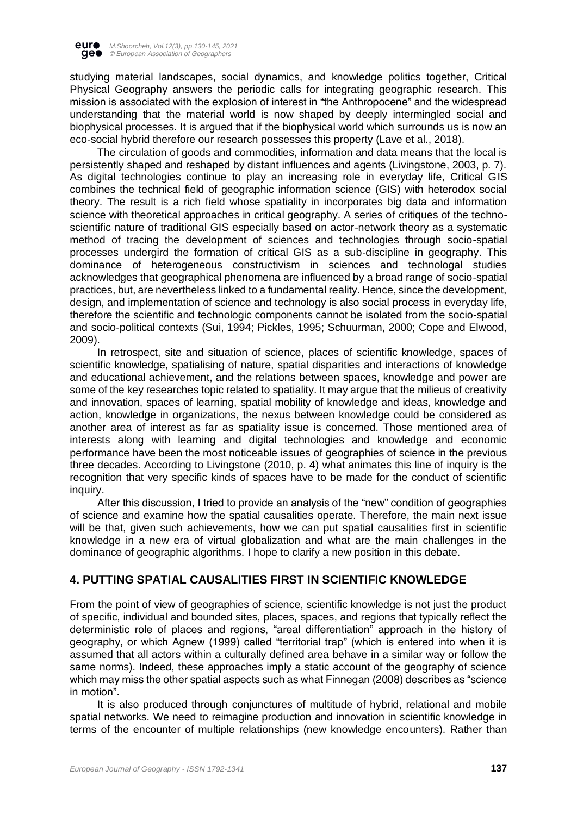

studying material landscapes, social dynamics, and knowledge politics together, Critical Physical Geography answers the periodic calls for integrating geographic research. This mission is associated with the explosion of interest in "the Anthropocene" and the widespread understanding that the material world is now shaped by deeply intermingled social and biophysical processes. It is argued that if the biophysical world which surrounds us is now an eco-social hybrid therefore our research possesses this property (Lave et al., 2018).

The circulation of goods and commodities, information and data means that the local is persistently shaped and reshaped by distant influences and agents (Livingstone, 2003, p. 7). As digital technologies continue to play an increasing role in everyday life, Critical GIS combines the technical field of geographic information science (GIS) with heterodox social theory. The result is a rich field whose spatiality in incorporates big data and information science with theoretical approaches in critical geography. A series of critiques of the technoscientific nature of traditional GIS especially based on actor-network theory as a systematic method of tracing the development of sciences and technologies through socio-spatial processes undergird the formation of critical GIS as a sub-discipline in geography. This dominance of heterogeneous constructivism in sciences and technologal studies acknowledges that geographical phenomena are influenced by a broad range of socio-spatial practices, but, are nevertheless linked to a fundamental reality. Hence, since the development, design, and implementation of science and technology is also social process in everyday life, therefore the scientific and technologic components cannot be isolated from the socio-spatial and socio-political contexts (Sui, 1994; Pickles, 1995; Schuurman, 2000; Cope and Elwood, 2009).

In retrospect, site and situation of science, places of scientific knowledge, spaces of scientific knowledge, spatialising of nature, spatial disparities and interactions of knowledge and educational achievement, and the relations between spaces, knowledge and power are some of the key researches topic related to spatiality. It may argue that the milieus of creativity and innovation, spaces of learning, spatial mobility of knowledge and ideas, knowledge and action, knowledge in organizations, the nexus between knowledge could be considered as another area of interest as far as spatiality issue is concerned. Those mentioned area of interests along with learning and digital technologies and knowledge and economic performance have been the most noticeable issues of geographies of science in the previous three decades. According to Livingstone (2010, p. 4) what animates this line of inquiry is the recognition that very specific kinds of spaces have to be made for the conduct of scientific inquiry.

After this discussion, I tried to provide an analysis of the "new" condition of geographies of science and examine how the spatial causalities operate. Therefore, the main next issue will be that, given such achievements, how we can put spatial causalities first in scientific knowledge in a new era of virtual globalization and what are the main challenges in the dominance of geographic algorithms. I hope to clarify a new position in this debate.

### **4. PUTTING SPATIAL CAUSALITIES FIRST IN SCIENTIFIC KNOWLEDGE**

From the point of view of geographies of science, scientific knowledge is not just the product of specific, individual and bounded sites, places, spaces, and regions that typically reflect the deterministic role of places and regions, "areal differentiation" approach in the history of geography, or which Agnew (1999) called "territorial trap" (which is entered into when it is assumed that all actors within a culturally defined area behave in a similar way or follow the same norms). Indeed, these approaches imply a static account of the geography of science which may miss the other spatial aspects such as what Finnegan (2008) describes as "science in motion".

It is also produced through conjunctures of multitude of hybrid, relational and mobile spatial networks. We need to reimagine production and innovation in scientific knowledge in terms of the encounter of multiple relationships (new knowledge encounters). Rather than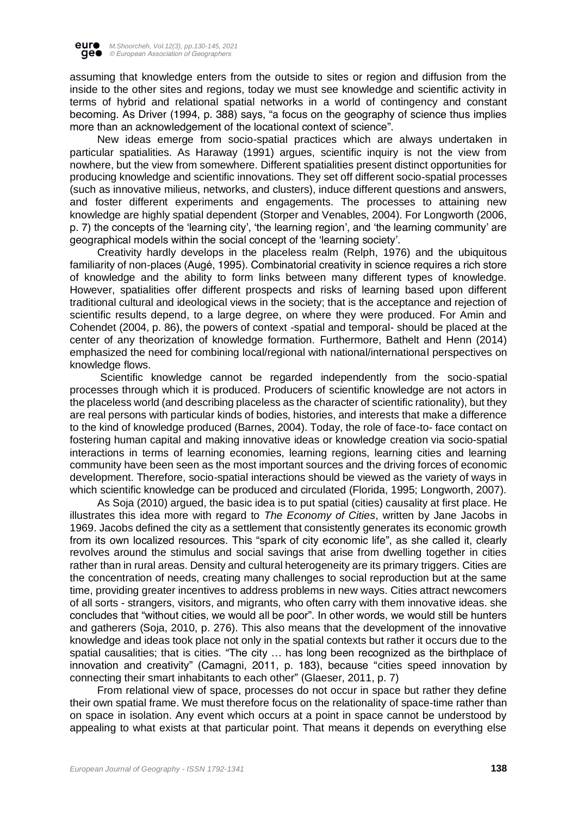

assuming that knowledge enters from the outside to sites or region and diffusion from the inside to the other sites and regions, today we must see knowledge and scientific activity in terms of hybrid and relational spatial networks in a world of contingency and constant becoming. As Driver (1994, p. 388) says, "a focus on the geography of science thus implies more than an acknowledgement of the locational context of science".

New ideas emerge from socio-spatial practices which are always undertaken in particular spatialities. As Haraway (1991) argues, scientific inquiry is not the view from nowhere, but the view from somewhere. Different spatialities present distinct opportunities for producing knowledge and scientific innovations. They set off different socio-spatial processes (such as innovative milieus, networks, and clusters), induce different questions and answers, and foster different experiments and engagements. The processes to attaining new knowledge are highly spatial dependent (Storper and Venables, 2004). For Longworth (2006, p. 7) the concepts of the 'learning city', 'the learning region', and 'the learning community' are geographical models within the social concept of the 'learning society'.

Creativity hardly develops in the placeless realm (Relph, 1976) and the ubiquitous familiarity of non-places (Augé, 1995). Combinatorial creativity in science requires a rich store of knowledge and the ability to form links between many different types of knowledge. However, spatialities offer different prospects and risks of learning based upon different traditional cultural and ideological views in the society; that is the acceptance and rejection of scientific results depend, to a large degree, on where they were produced. For Amin and Cohendet (2004, p. 86), the powers of context -spatial and temporal- should be placed at the center of any theorization of knowledge formation. Furthermore, Bathelt and Henn (2014) emphasized the need for combining local/regional with national/international perspectives on knowledge flows.

Scientific knowledge cannot be regarded independently from the socio-spatial processes through which it is produced. Producers of scientific knowledge are not actors in the placeless world (and describing placeless as the character of scientific rationality), but they are real persons with particular kinds of bodies, histories, and interests that make a difference to the kind of knowledge produced (Barnes, 2004). Today, the role of face-to- face contact on fostering human capital and making innovative ideas or knowledge creation via socio-spatial interactions in terms of learning economies, learning regions, learning cities and learning community have been seen as the most important sources and the driving forces of economic development. Therefore, socio-spatial interactions should be viewed as the variety of ways in which scientific knowledge can be produced and circulated (Florida, 1995; Longworth, 2007).

As Soja (2010) argued, the basic idea is to put spatial (cities) causality at first place. He illustrates this idea more with regard to *The Economy of Cities*, written by Jane Jacobs in 1969. Jacobs defined the city as a settlement that consistently generates its economic growth from its own localized resources. This "spark of city economic life", as she called it, clearly revolves around the stimulus and social savings that arise from dwelling together in cities rather than in rural areas. Density and cultural heterogeneity are its primary triggers. Cities are the concentration of needs, creating many challenges to social reproduction but at the same time, providing greater incentives to address problems in new ways. Cities attract newcomers of all sorts - strangers, visitors, and migrants, who often carry with them innovative ideas. she concludes that "without cities, we would all be poor". In other words, we would still be hunters and gatherers (Soja, 2010, p. 276). This also means that the development of the innovative knowledge and ideas took place not only in the spatial contexts but rather it occurs due to the spatial causalities; that is cities. "The city … has long been recognized as the birthplace of innovation and creativity" (Camagni, 2011, p. 183), because "cities speed innovation by connecting their smart inhabitants to each other" (Glaeser, 2011, p. 7)

From relational view of space, processes do not occur in space but rather they define their own spatial frame. We must therefore focus on the relationality of space-time rather than on space in isolation. Any event which occurs at a point in space cannot be understood by appealing to what exists at that particular point. That means it depends on everything else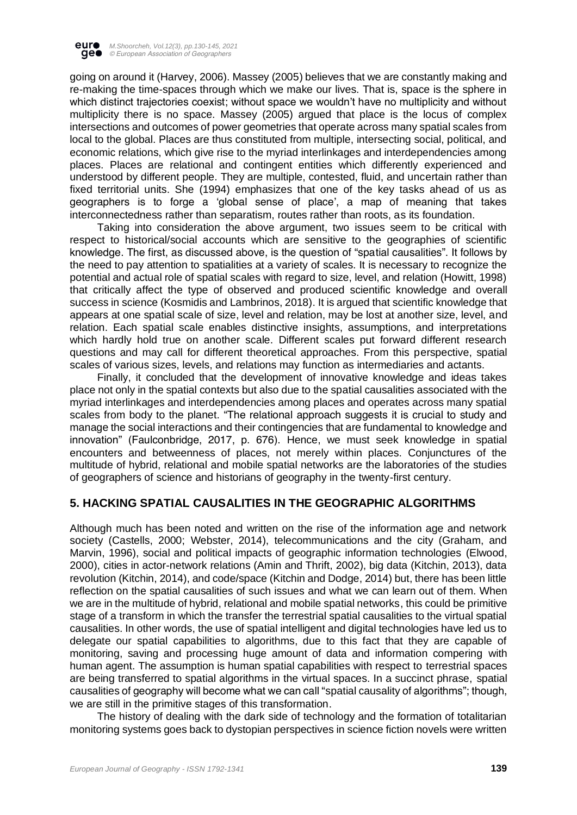

going on around it (Harvey, 2006). Massey (2005) believes that we are constantly making and re-making the time-spaces through which we make our lives. That is, space is the sphere in which distinct trajectories coexist; without space we wouldn't have no multiplicity and without multiplicity there is no space. Massey (2005) argued that place is the locus of complex intersections and outcomes of power geometries that operate across many spatial scales from local to the global. Places are thus constituted from multiple, intersecting social, political, and economic relations, which give rise to the myriad interlinkages and interdependencies among places. Places are relational and contingent entities which differently experienced and understood by different people. They are multiple, contested, fluid, and uncertain rather than fixed territorial units. She (1994) emphasizes that one of the key tasks ahead of us as geographers is to forge a 'global sense of place', a map of meaning that takes interconnectedness rather than separatism, routes rather than roots, as its foundation.

Taking into consideration the above argument, two issues seem to be critical with respect to historical/social accounts which are sensitive to the geographies of scientific knowledge. The first, as discussed above, is the question of "spatial causalities". It follows by the need to pay attention to spatialities at a variety of scales. It is necessary to recognize the potential and actual role of spatial scales with regard to size, level, and relation (Howitt, 1998) that critically affect the type of observed and produced scientific knowledge and overall success in science (Kosmidis and Lambrinos, 2018). It is argued that scientific knowledge that appears at one spatial scale of size, level and relation, may be lost at another size, level, and relation. Each spatial scale enables distinctive insights, assumptions, and interpretations which hardly hold true on another scale. Different scales put forward different research questions and may call for different theoretical approaches. From this perspective, spatial scales of various sizes, levels, and relations may function as intermediaries and actants.

Finally, it concluded that the development of innovative knowledge and ideas takes place not only in the spatial contexts but also due to the spatial causalities associated with the myriad interlinkages and interdependencies among places and operates across many spatial scales from body to the planet. "The relational approach suggests it is crucial to study and manage the social interactions and their contingencies that are fundamental to knowledge and innovation" (Faulconbridge, 2017, p. 676). Hence, we must seek knowledge in spatial encounters and betweenness of places, not merely within places. Conjunctures of the multitude of hybrid, relational and mobile spatial networks are the laboratories of the studies of geographers of science and historians of geography in the twenty-first century.

#### **5. HACKING SPATIAL CAUSALITIES IN THE GEOGRAPHIC ALGORITHMS**

Although much has been noted and written on the rise of the information age and network society (Castells, 2000; Webster, 2014), telecommunications and the city (Graham, and Marvin, 1996), social and political impacts of geographic information technologies (Elwood, 2000), cities in actor-network relations (Amin and Thrift, 2002), big data (Kitchin, 2013), data revolution (Kitchin, 2014), and code/space (Kitchin and Dodge, 2014) but, there has been little reflection on the spatial causalities of such issues and what we can learn out of them. When we are in the multitude of hybrid, relational and mobile spatial networks, this could be primitive stage of a transform in which the transfer the terrestrial spatial causalities to the virtual spatial causalities. In other words, the use of spatial intelligent and digital technologies have led us to delegate our spatial capabilities to algorithms, due to this fact that they are capable of monitoring, saving and processing huge amount of data and information compering with human agent. The assumption is human spatial capabilities with respect to terrestrial spaces are being transferred to spatial algorithms in the virtual spaces. In a succinct phrase, spatial causalities of geography will become what we can call "spatial causality of algorithms"; though, we are still in the primitive stages of this transformation.

The history of dealing with the dark side of technology and the formation of totalitarian monitoring systems goes back to dystopian perspectives in science fiction novels were written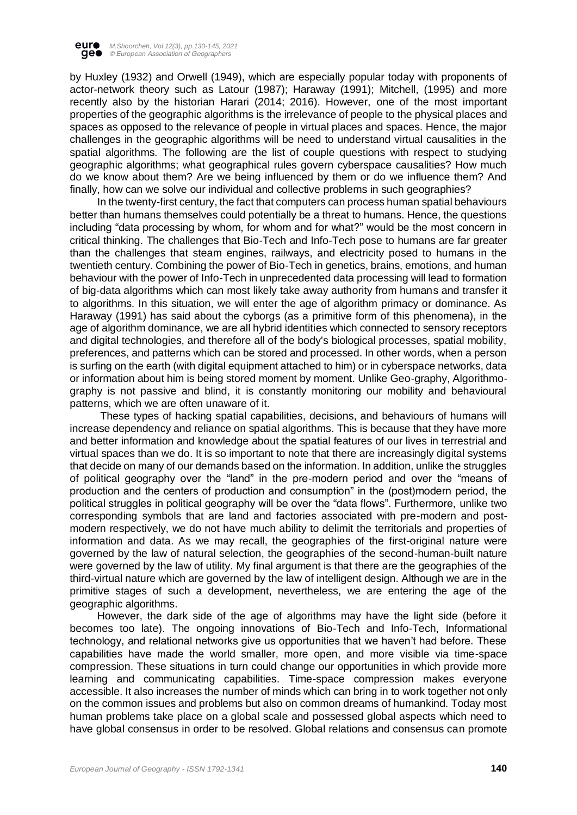

by Huxley (1932) and Orwell (1949), which are especially popular today with proponents of actor-network theory such as Latour (1987); Haraway (1991); Mitchell, (1995) and more recently also by the historian Harari (2014; 2016). However, one of the most important properties of the geographic algorithms is the irrelevance of people to the physical places and spaces as opposed to the relevance of people in virtual places and spaces. Hence, the major challenges in the geographic algorithms will be need to understand virtual causalities in the spatial algorithms. The following are the list of couple questions with respect to studying geographic algorithms; what geographical rules govern cyberspace causalities? How much do we know about them? Are we being influenced by them or do we influence them? And finally, how can we solve our individual and collective problems in such geographies?

In the twenty-first century, the fact that computers can process human spatial behaviours better than humans themselves could potentially be a threat to humans. Hence, the questions including "data processing by whom, for whom and for what?" would be the most concern in critical thinking. The challenges that Bio-Tech and Info-Tech pose to humans are far greater than the challenges that steam engines, railways, and electricity posed to humans in the twentieth century. Combining the power of Bio-Tech in genetics, brains, emotions, and human behaviour with the power of Info-Tech in unprecedented data processing will lead to formation of big-data algorithms which can most likely take away authority from humans and transfer it to algorithms. In this situation, we will enter the age of algorithm primacy or dominance. As Haraway (1991) has said about the cyborgs (as a primitive form of this phenomena), in the age of algorithm dominance, we are all hybrid identities which connected to sensory receptors and digital technologies, and therefore all of the body's biological processes, spatial mobility, preferences, and patterns which can be stored and processed. In other words, when a person is surfing on the earth (with digital equipment attached to him) or in cyberspace networks, data or information about him is being stored moment by moment. Unlike Geo-graphy, Algorithmography is not passive and blind, it is constantly monitoring our mobility and behavioural patterns, which we are often unaware of it.

These types of hacking spatial capabilities, decisions, and behaviours of humans will increase dependency and reliance on spatial algorithms. This is because that they have more and better information and knowledge about the spatial features of our lives in terrestrial and virtual spaces than we do. It is so important to note that there are increasingly digital systems that decide on many of our demands based on the information. In addition, unlike the struggles of political geography over the "land" in the pre-modern period and over the "means of production and the centers of production and consumption" in the (post)modern period, the political struggles in political geography will be over the "data flows". Furthermore, unlike two corresponding symbols that are land and factories associated with pre-modern and postmodern respectively, we do not have much ability to delimit the territorials and properties of information and data. As we may recall, the geographies of the first-original nature were governed by the law of natural selection, the geographies of the second-human-built nature were governed by the law of utility. My final argument is that there are the geographies of the third-virtual nature which are governed by the law of intelligent design. Although we are in the primitive stages of such a development, nevertheless, we are entering the age of the geographic algorithms.

However, the dark side of the age of algorithms may have the light side (before it becomes too late). The ongoing innovations of Bio-Tech and Info-Tech, Informational technology, and relational networks give us opportunities that we haven't had before. These capabilities have made the world smaller, more open, and more visible via time-space compression. These situations in turn could change our opportunities in which provide more learning and communicating capabilities. Time-space compression makes everyone accessible. It also increases the number of minds which can bring in to work together not only on the common issues and problems but also on common dreams of humankind. Today most human problems take place on a global scale and possessed global aspects which need to have global consensus in order to be resolved. Global relations and consensus can promote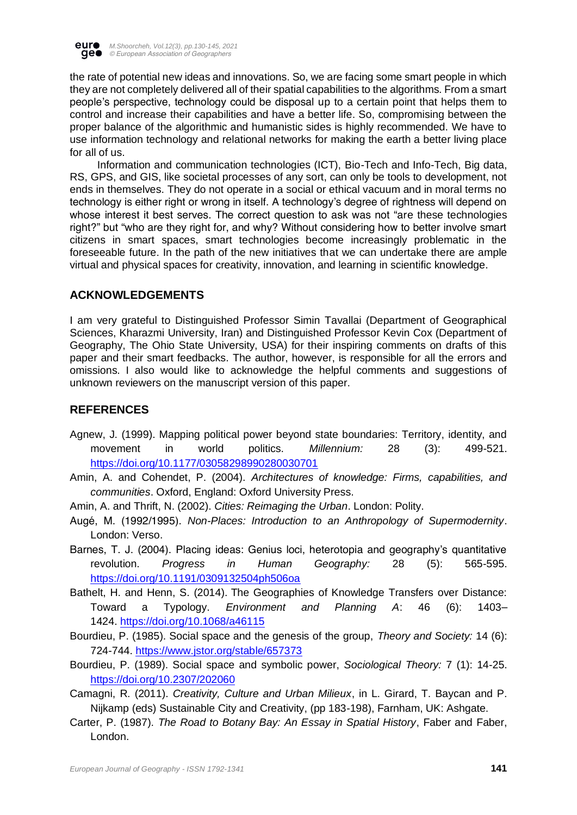

the rate of potential new ideas and innovations. So, we are facing some smart people in which they are not completely delivered all of their spatial capabilities to the algorithms. From a smart people's perspective, technology could be disposal up to a certain point that helps them to control and increase their capabilities and have a better life. So, compromising between the proper balance of the algorithmic and humanistic sides is highly recommended. We have to use information technology and relational networks for making the earth a better living place for all of us.

Information and communication technologies (ICT), Bio-Tech and Info-Tech, Big data, RS, GPS, and GIS, like societal processes of any sort, can only be tools to development, not ends in themselves. They do not operate in a social or ethical vacuum and in moral terms no technology is either right or wrong in itself. A technology's degree of rightness will depend on whose interest it best serves. The correct question to ask was not "are these technologies right?" but "who are they right for, and why? Without considering how to better involve smart citizens in smart spaces, smart technologies become increasingly problematic in the foreseeable future. In the path of the new initiatives that we can undertake there are ample virtual and physical spaces for creativity, innovation, and learning in scientific knowledge.

#### **ACKNOWLEDGEMENTS**

I am very grateful to Distinguished Professor Simin Tavallai (Department of Geographical Sciences, Kharazmi University, Iran) and Distinguished Professor Kevin Cox (Department of Geography, The Ohio State University, USA) for their inspiring comments on drafts of this paper and their smart feedbacks. The author, however, is responsible for all the errors and omissions. I also would like to acknowledge the helpful comments and suggestions of unknown reviewers on the manuscript version of this paper.

### **REFERENCES**

- Agnew, J. (1999). Mapping political power beyond state boundaries: Territory, identity, and movement in world politics. *Millennium:* 28 (3): 499-521. <https://doi.org/10.1177/03058298990280030701>
- Amin, A. and Cohendet, P. (2004). *Architectures of knowledge: Firms, capabilities, and communities*. Oxford, England: Oxford University Press.
- Amin, A. and Thrift, N. (2002). *Cities: Reimaging the Urban*. London: Polity.
- Augé, M. (1992/1995). *Non-Places: Introduction to an Anthropology of Supermodernity*. London: Verso.
- Barnes, T. J. (2004). Placing ideas: Genius loci, heterotopia and geography's quantitative revolution. *Progress in Human Geography:* 28 (5): 565-595. <https://doi.org/10.1191/0309132504ph506oa>
- Bathelt, H. and Henn, S. (2014). The Geographies of Knowledge Transfers over Distance: Toward a Typology. *Environment and Planning A*: 46 (6): 1403– 1424. <https://doi.org/10.1068/a46115>
- Bourdieu, P. (1985). Social space and the genesis of the group, *Theory and Society:* 14 (6): 724-744.<https://www.jstor.org/stable/657373>
- Bourdieu, P. (1989). Social space and symbolic power, *Sociological Theory:* 7 (1): 14-25. <https://doi.org/10.2307/202060>
- Camagni, R. (2011). *Creativity, Culture and Urban Milieux*, in L. Girard, T. Baycan and P. Nijkamp (eds) Sustainable City and Creativity, (pp 183-198), Farnham, UK: Ashgate.
- Carter, P. (1987). *The Road to Botany Bay: An Essay in Spatial History*, Faber and Faber, London.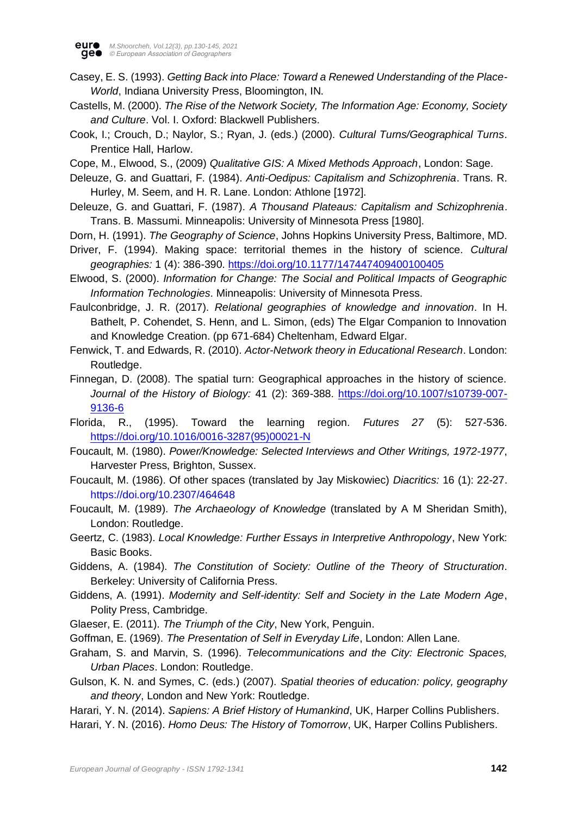

- Casey, E. S. (1993). *Getting Back into Place: Toward a Renewed Understanding of the Place-World*, Indiana University Press, Bloomington, IN.
- Castells, M. (2000). *The Rise of the Network Society, The Information Age: Economy, Society and Culture*. Vol. I. Oxford: Blackwell Publishers.
- Cook, I.; Crouch, D.; Naylor, S.; Ryan, J. (eds.) (2000). *Cultural Turns/Geographical Turns*. Prentice Hall, Harlow.
- Cope, M., Elwood, S., (2009) *Qualitative GIS: A Mixed Methods Approach*, London: Sage.
- Deleuze, G. and Guattari, F. (1984). *Anti-Oedipus: Capitalism and Schizophrenia*. Trans. R. Hurley, M. Seem, and H. R. Lane. London: Athlone [1972].
- Deleuze, G. and Guattari, F. (1987). *A Thousand Plateaus: Capitalism and Schizophrenia*. Trans. B. Massumi. Minneapolis: University of Minnesota Press [1980].
- Dorn, H. (1991). *The Geography of Science*, Johns Hopkins University Press, Baltimore, MD.
- Driver, F. (1994). Making space: territorial themes in the history of science. *Cultural geographies:* 1 (4): 386-390. <https://doi.org/10.1177/147447409400100405>
- Elwood, S. (2000). *Information for Change: The Social and Political Impacts of Geographic Information Technologies*. Minneapolis: University of Minnesota Press.
- Faulconbridge, J. R. (2017). *Relational geographies of knowledge and innovation*. In H. Bathelt, P. Cohendet, S. Henn, and L. Simon, (eds) The Elgar Companion to Innovation and Knowledge Creation. (pp 671-684) Cheltenham, Edward Elgar.
- Fenwick, T. and Edwards, R. (2010). *Actor-Network theory in Educational Research*. London: Routledge.
- Finnegan, D. (2008). The spatial turn: Geographical approaches in the history of science. *Journal of the History of Biology:* 41 (2): 369-388. [https://doi.org/10.1007/s10739-007-](https://doi.org/10.1007/s10739-007-9136-6) [9136-6](https://doi.org/10.1007/s10739-007-9136-6)
- Florida, R., (1995). Toward the learning region. *Futures 27* (5): 527-536. [https://doi.org/10.1016/0016-3287\(95\)00021-N](https://doi.org/10.1016/0016-3287(95)00021-N)
- Foucault, M. (1980). *Power/Knowledge: Selected Interviews and Other Writings, 1972-1977*, Harvester Press, Brighton, Sussex.
- Foucault, M. (1986). Of other spaces (translated by Jay Miskowiec) *Diacritics:* 16 (1): 22-27. <https://doi.org/10.2307/464648>
- Foucault, M. (1989). *The Archaeology of Knowledge* (translated by A M Sheridan Smith), London: Routledge.
- Geertz, C. (1983). *Local Knowledge: Further Essays in Interpretive Anthropology*, New York: Basic Books.
- Giddens, A. (1984). *The Constitution of Society: Outline of the Theory of Structuration*. Berkeley: University of California Press.
- Giddens, A. (1991). *Modernity and Self-identity: Self and Society in the Late Modern Age*, Polity Press, Cambridge.
- Glaeser, E. (2011). *The Triumph of the City*, New York, Penguin.
- Goffman, E. (1969). *The Presentation of Self in Everyday Life*, London: Allen Lane.
- Graham, S. and Marvin, S. (1996). *Telecommunications and the City: Electronic Spaces, Urban Places*. London: Routledge.
- Gulson, K. N. and Symes, C. (eds.) (2007). *Spatial theories of education: policy, geography and theory*, London and New York: Routledge.
- Harari, Y. N. (2014). *Sapiens: A Brief History of Humankind*, UK, Harper Collins Publishers.
- Harari, Y. N. (2016). *Homo Deus: The History of Tomorrow*, UK, Harper Collins Publishers.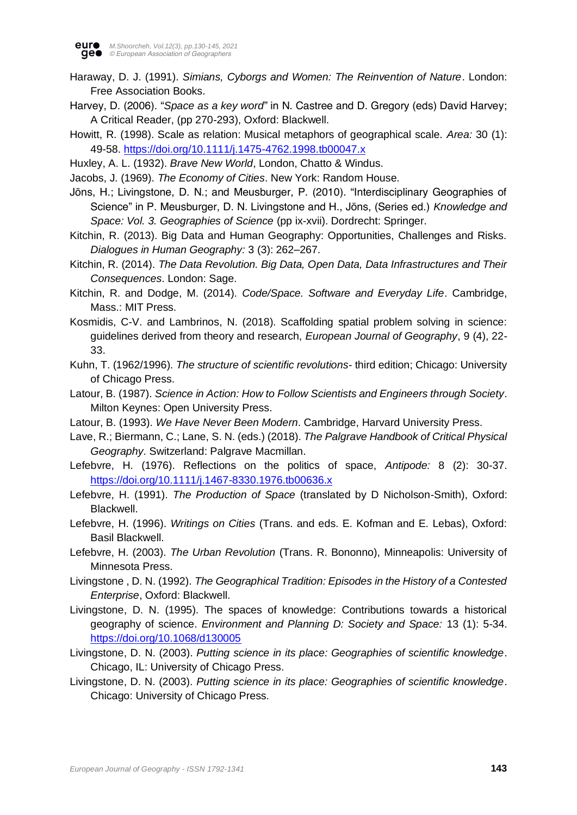

- Haraway, D. J. (1991). *Simians, Cyborgs and Women: The Reinvention of Nature*. London: Free Association Books.
- Harvey, D. (2006). "*Space as a key word*" in N. Castree and D. Gregory (eds) David Harvey; A Critical Reader, (pp 270-293), Oxford: Blackwell.
- Howitt, R. (1998). Scale as relation: Musical metaphors of geographical scale. *Area:* 30 (1): 49-58.<https://doi.org/10.1111/j.1475-4762.1998.tb00047.x>
- Huxley, A. L. (1932). *Brave New World*, London, Chatto & Windus.
- Jacobs, J. (1969). *The Economy of Cities*. New York: Random House.
- Jöns, H.; Livingstone, D. N.; and Meusburger, P. (2010). "Interdisciplinary Geographies of Science" in P. Meusburger, D. N. Livingstone and H., Jöns, (Series ed.) *Knowledge and Space: Vol. 3. Geographies of Science* (pp ix-xvii). Dordrecht: Springer.
- Kitchin, R. (2013). Big Data and Human Geography: Opportunities, Challenges and Risks. *Dialogues in Human Geography:* 3 (3): 262–267.
- Kitchin, R. (2014). *The Data Revolution. Big Data, Open Data, Data Infrastructures and Their Consequences*. London: Sage.
- Kitchin, R. and Dodge, M. (2014). *Code/Space. Software and Everyday Life*. Cambridge, Mass.: MIT Press.
- Kosmidis, C-V. and Lambrinos, N. (2018). Scaffolding spatial problem solving in science: guidelines derived from theory and research, *European Journal of Geography*, 9 (4), 22- 33.
- Kuhn, T. (1962/1996). *The structure of scientific revolutions* third edition; Chicago: University of Chicago Press.
- Latour, B. (1987). *Science in Action: How to Follow Scientists and Engineers through Society*. Milton Keynes: Open University Press.
- Latour, B. (1993). *We Have Never Been Modern*. Cambridge, Harvard University Press.
- Lave, R.; Biermann, C.; Lane, S. N. (eds.) (2018). *The Palgrave Handbook of Critical Physical Geography*. Switzerland: Palgrave Macmillan.
- Lefebvre, H. (1976). Reflections on the politics of space, *Antipode:* 8 (2): 30-37. <https://doi.org/10.1111/j.1467-8330.1976.tb00636.x>
- Lefebvre, H. (1991). *The Production of Space* (translated by D Nicholson-Smith), Oxford: Blackwell.
- Lefebvre, H. (1996). *Writings on Cities* (Trans. and eds. E. Kofman and E. Lebas), Oxford: Basil Blackwell.
- Lefebvre, H. (2003). *The Urban Revolution* (Trans. R. Bononno), Minneapolis: University of Minnesota Press.
- Livingstone , D. N. (1992). *The Geographical Tradition: Episodes in the History of a Contested Enterprise*, Oxford: Blackwell.
- Livingstone, D. N. (1995). The spaces of knowledge: Contributions towards a historical geography of science. *Environment and Planning D: Society and Space:* 13 (1): 5-34. <https://doi.org/10.1068/d130005>
- Livingstone, D. N. (2003). *Putting science in its place: Geographies of scientific knowledge*. Chicago, IL: University of Chicago Press.
- Livingstone, D. N. (2003). *Putting science in its place: Geographies of scientific knowledge*. Chicago: University of Chicago Press.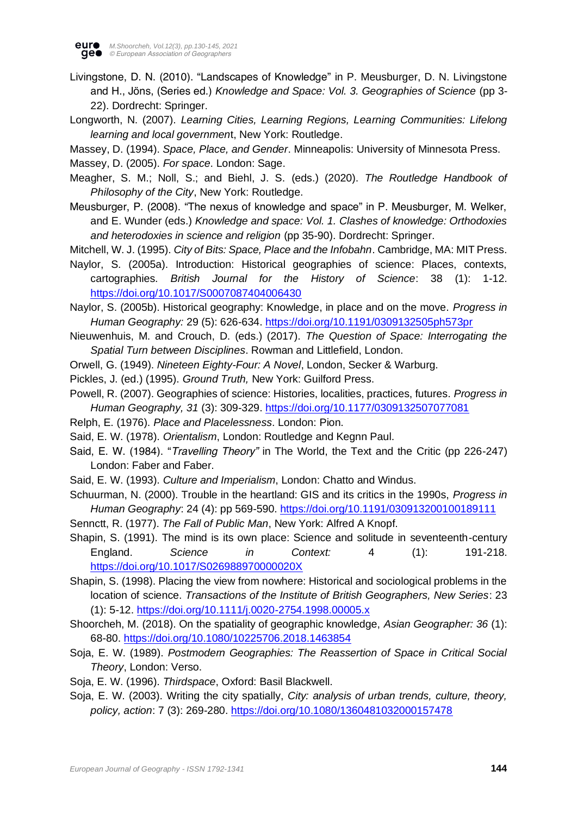

- Livingstone, D. N. (2010). "Landscapes of Knowledge" in P. Meusburger, D. N. Livingstone and H., Jöns, (Series ed.) *Knowledge and Space: Vol. 3. Geographies of Science* (pp 3- 22). Dordrecht: Springer.
- Longworth, N. (2007). *Learning Cities, Learning Regions, Learning Communities: Lifelong learning and local governmen*t, New York: Routledge.
- Massey, D. (1994). *Space, Place, and Gender*. Minneapolis: University of Minnesota Press.
- Massey, D. (2005). *For space*. London: Sage.
- Meagher, S. M.; Noll, S.; and Biehl, J. S. (eds.) (2020). *The Routledge Handbook of Philosophy of the City*, New York: Routledge.
- Meusburger, P. (2008). "The nexus of knowledge and space" in P. Meusburger, M. Welker, and E. Wunder (eds.) *Knowledge and space: Vol. 1. Clashes of knowledge: Orthodoxies and heterodoxies in science and religion* (pp 35-90). Dordrecht: Springer.
- Mitchell, W. J. (1995). *City of Bits: Space, Place and the Infobahn*. Cambridge, MA: MIT Press.
- Naylor, S. (2005a). Introduction: Historical geographies of science: Places, contexts, cartographies. *British Journal for the History of Science*: 38 (1): 1-12. <https://doi.org/10.1017/S0007087404006430>
- Naylor, S. (2005b). Historical geography: Knowledge, in place and on the move. *Progress in Human Geography:* 29 (5): 626-634.<https://doi.org/10.1191/0309132505ph573pr>
- Nieuwenhuis, M. and Crouch, D. (eds.) (2017). *The Question of Space: Interrogating the Spatial Turn between Disciplines*. Rowman and Littlefield, London.
- Orwell, G. (1949). *Nineteen Eighty-Four: A Novel*, London, Secker & Warburg.
- Pickles, J. (ed.) (1995). *Ground Truth,* New York: Guilford Press.
- Powell, R. (2007). Geographies of science: Histories, localities, practices, futures. *Progress in Human Geography, 31* (3): 309-329.<https://doi.org/10.1177/0309132507077081>
- Relph, E. (1976). *Place and Placelessness*. London: Pion.
- Said, E. W. (1978). *Orientalism*, London: Routledge and Kegnn Paul.
- Said, E. W. (1984). "*Travelling Theory"* in The World, the Text and the Critic (pp 226-247) London: Faber and Faber.
- Said, E. W. (1993). *Culture and Imperialism*, London: Chatto and Windus.
- Schuurman, N. (2000). Trouble in the heartland: GIS and its critics in the 1990s, *Progress in Human Geography*: 24 (4): pp 569-590.<https://doi.org/10.1191/030913200100189111>
- Sennctt, R. (1977). *The Fall of Public Man*, New York: Alfred A Knopf.
- Shapin, S. (1991). The mind is its own place: Science and solitude in seventeenth-century England. *Science in Context:* 4 (1): 191-218. <https://doi.org/10.1017/S026988970000020X>
- Shapin, S. (1998). Placing the view from nowhere: Historical and sociological problems in the location of science. *Transactions of the Institute of British Geographers, New Series*: 23 (1): 5-12.<https://doi.org/10.1111/j.0020-2754.1998.00005.x>
- Shoorcheh, M. (2018). On the spatiality of geographic knowledge, *Asian Geographer: 36* (1): 68-80.<https://doi.org/10.1080/10225706.2018.1463854>
- Soja, E. W. (1989). *Postmodern Geographies: The Reassertion of Space in Critical Social Theory*, London: Verso.
- Soja, E. W. (1996). *Thirdspace*, Oxford: Basil Blackwell.
- Soja, E. W. (2003). Writing the city spatially, *City: analysis of urban trends, culture, theory, policy, action*: 7 (3): 269-280.<https://doi.org/10.1080/1360481032000157478>